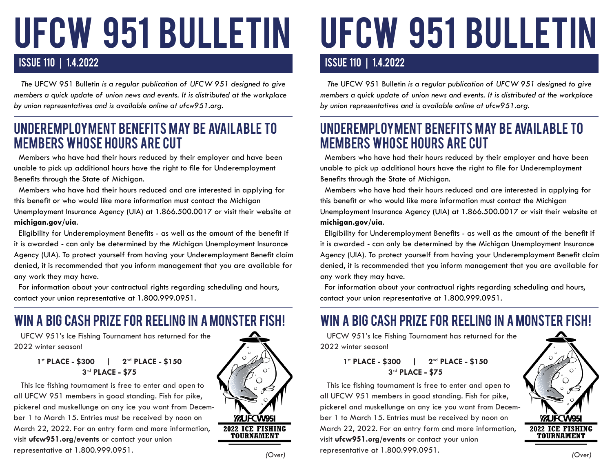# UFCW 951 BULLETIN

### ISSUE 110 | 1.4.2022 ISSUE 110 | 1.4.2022

 *The* UFCW 951 Bulletin *is a regular publication of UFCW 951 designed to give members a quick update of union news and events. It is distributed at the workplace by union representatives and is available online at ufcw951.org.* 

## UNDEREMPLOYMENT BENEFITS MAY BE AVAILABLE TO MEMBERS WHOSE HOURS ARE CUT

 Members who have had their hours reduced by their employer and have been unable to pick up additional hours have the right to file for Underemployment Benefits through the State of Michigan.

 Members who have had their hours reduced and are interested in applying for this benefit or who would like more information must contact the Michigan Unemployment Insurance Agency (UIA) at 1.866.500.0017 or visit their website at **michigan.gov/uia**.

 Eligibility for Underemployment Benefits - as well as the amount of the benefit if it is awarded - can only be determined by the Michigan Unemployment Insurance Agency (UIA). To protect yourself from having your Underemployment Benefit claim denied, it is recommended that you inform management that you are available for any work they may have.

 For information about your contractual rights regarding scheduling and hours, contact your union representative at 1.800.999.0951.

## WIN A BIG CASH PRIZE FOR REELING IN A MONSTER FISH!

UFCW 951's Ice Fishing Tournament has returned for the 2022 winter season!

#### **1**st **PLACE - \$300 | 2**nd **PLACE - \$150 3**rd **PLACE - \$75**

 This ice fishing tournament is free to enter and open to all UFCW 951 members in good standing. Fish for pike, pickerel and muskellunge on any ice you want from December 1 to March 15. Entries must be received by noon on March 22, 2022. For an entry form and more information, visit **ufcw951.org/events** or contact your union representative at 1.800.999.0951.